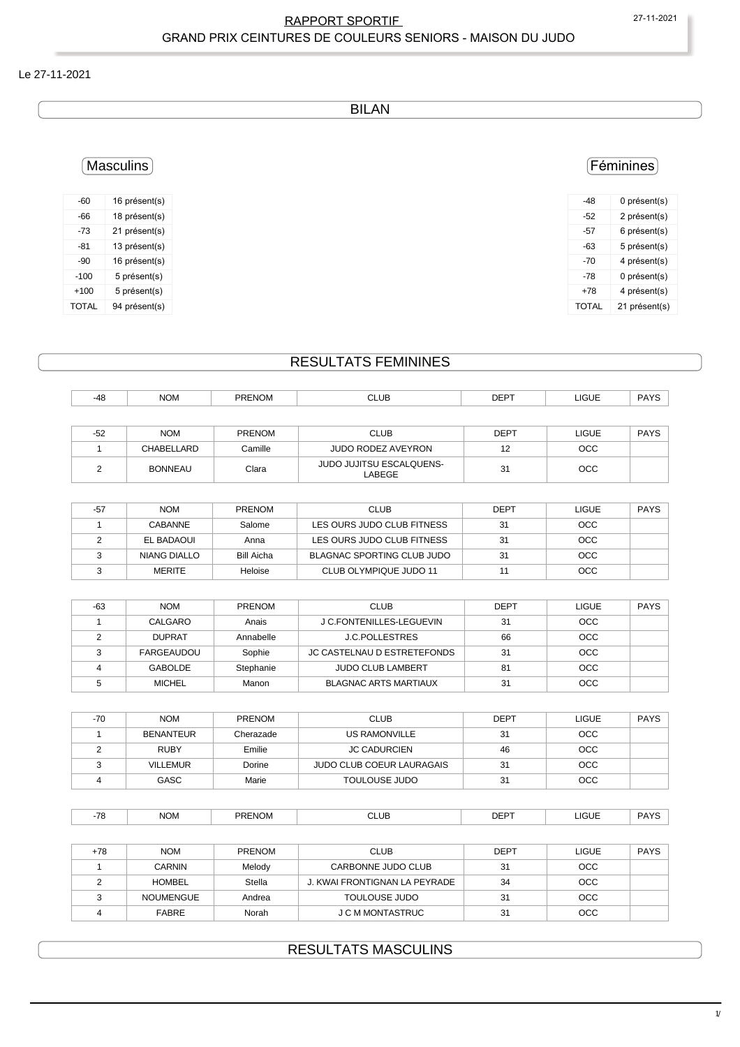#### RAPPORT SPORTIF 27-11-2021 GRAND PRIX CEINTURES DE COULEURS SENIORS - MAISON DU JUDO

#### Le 27-11-2021

BILAN

# Féminines

| -48          | 0 présent(s)  |
|--------------|---------------|
| -52          | 2 présent(s)  |
| -57          | 6 présent(s)  |
| -63          | 5 présent(s)  |
| -70          | 4 présent(s)  |
| -78          | 0 présent(s)  |
| +78          | 4 présent(s)  |
| <b>TOTAL</b> | 21 présent(s) |

Masculins

| -60          | 16 présent(s) |
|--------------|---------------|
| -66          | 18 présent(s) |
| -73          | 21 présent(s) |
| -81          | 13 présent(s) |
| $-90$        | 16 présent(s) |
| $-100$       | 5 présent(s)  |
| $+100$       | 5 présent(s)  |
| <b>TOTAL</b> | 94 présent(s) |

## RESULTATS FEMININES

| $-48$ | <b>NOM</b> | <b>PRENOM</b> | <b>CLUB</b> | <b>DEPT</b> | <b>LIGUE</b> | <b>PAYS</b> |
|-------|------------|---------------|-------------|-------------|--------------|-------------|
|       |            |               |             |             |              |             |
| $-52$ | <b>NOM</b> | <b>PRENOM</b> | <b>CLUB</b> | <b>DEPT</b> | <b>LIGUE</b> | <b>PAYS</b> |

| ے ب | $\sim$         | _______ | ◡∟◡◡                                     | ◡└  | ⊔∪∪∟ | . רוי |
|-----|----------------|---------|------------------------------------------|-----|------|-------|
|     | CHABELLARD     | Camille | JUDO RODEZ AVEYRON                       | ' - | OCC  |       |
|     | <b>BONNEAU</b> | Clara   | <b>JUDO JUJITSU ESCALQUENS-</b><br>ABEGE | 31  | OCC  |       |
|     |                |         |                                          |     |      |       |

| -57 | <b>NOM</b>    | PRENOM     | <b>CLUB</b>                | <b>DEPT</b> | LIGUE      | <b>PAYS</b> |
|-----|---------------|------------|----------------------------|-------------|------------|-------------|
|     | CABANNE       | Salome     | LES OURS JUDO CLUB FITNESS | 31          | <b>OCC</b> |             |
|     | EL BADAOUI    | Anna       | LES OURS JUDO CLUB FITNESS | 31          | <b>OCC</b> |             |
|     | NIANG DIALLO  | Bill Aicha | BLAGNAC SPORTING CLUB JUDO | 31          | <b>OCC</b> |             |
|     | <b>MERITE</b> | Heloise    | CLUB OLYMPIQUE JUDO 11     |             | <b>OCC</b> |             |

| $-63$ | <b>NOM</b>    | <b>PRENOM</b> | <b>CLUB</b>                        | <b>DEPT</b> | <b>LIGUE</b> | <b>PAYS</b> |
|-------|---------------|---------------|------------------------------------|-------------|--------------|-------------|
|       | CALGARO       | Anais         | J C.FONTENILLES-LEGUEVIN           | 31          | <b>OCC</b>   |             |
|       | <b>DUPRAT</b> | Annabelle     | <b>J.C.POLLESTRES</b>              | 66          | OCC          |             |
|       | FARGEAUDOU    | Sophie        | <b>JC CASTELNAU D ESTRETEFONDS</b> | 31          | OCC          |             |
|       | GABOLDE       | Stephanie     | <b>JUDO CLUB LAMBERT</b>           | 81          | <b>OCC</b>   |             |
|       | <b>MICHEL</b> | Manon         | <b>BLAGNAC ARTS MARTIAUX</b>       | 31          | <b>OCC</b>   |             |

| $-70$ | <b>NOM</b>       | <b>PRENOM</b> | <b>CLUB</b>               | <b>DEPT</b> | <b>LIGUE</b> | <b>PAYS</b> |
|-------|------------------|---------------|---------------------------|-------------|--------------|-------------|
|       | <b>BENANTEUR</b> | Cherazade     | US RAMONVILLE             | 31          | <b>OCC</b>   |             |
|       | <b>RUBY</b>      | Emilie        | <b>JC CADURCIEN</b>       | 46          | <b>OCC</b>   |             |
|       | <b>VILLEMUR</b>  | Dorine        | JUDO CLUB COEUR LAURAGAIS | 31          | <b>OCC</b>   |             |
|       | GASC             | Marie         | <b>TOULOUSE JUDO</b>      | 31          | <b>OCC</b>   |             |

| $\overline{\phantom{a}}$ | <b>NOM</b><br>_____ | <b>PRENOM</b> | CLUB<br>___ | <b>DEPT</b> | <b>LIGUE</b><br>____ | <b>PAYS</b> |  |
|--------------------------|---------------------|---------------|-------------|-------------|----------------------|-------------|--|
|--------------------------|---------------------|---------------|-------------|-------------|----------------------|-------------|--|

| +78 | <b>NOM</b>       | <b>PRENOM</b> | <b>CLUB</b>                   | <b>DEPT</b> | LIGUE      | <b>PAYS</b> |
|-----|------------------|---------------|-------------------------------|-------------|------------|-------------|
|     | <b>CARNIN</b>    | Melody        | CARBONNE JUDO CLUB            | 31          | <b>OCC</b> |             |
|     | <b>HOMBEL</b>    | Stella        | J. KWAI FRONTIGNAN LA PEYRADE | 34          | <b>OCC</b> |             |
|     | <b>NOUMENGUE</b> | Andrea        | TOULOUSE JUDO                 | 31          | <b>OCC</b> |             |
|     | <b>FABRE</b>     | Norah         | J C M MONTASTRUC              | 31          | <b>OCC</b> |             |

## RESULTATS MASCULINS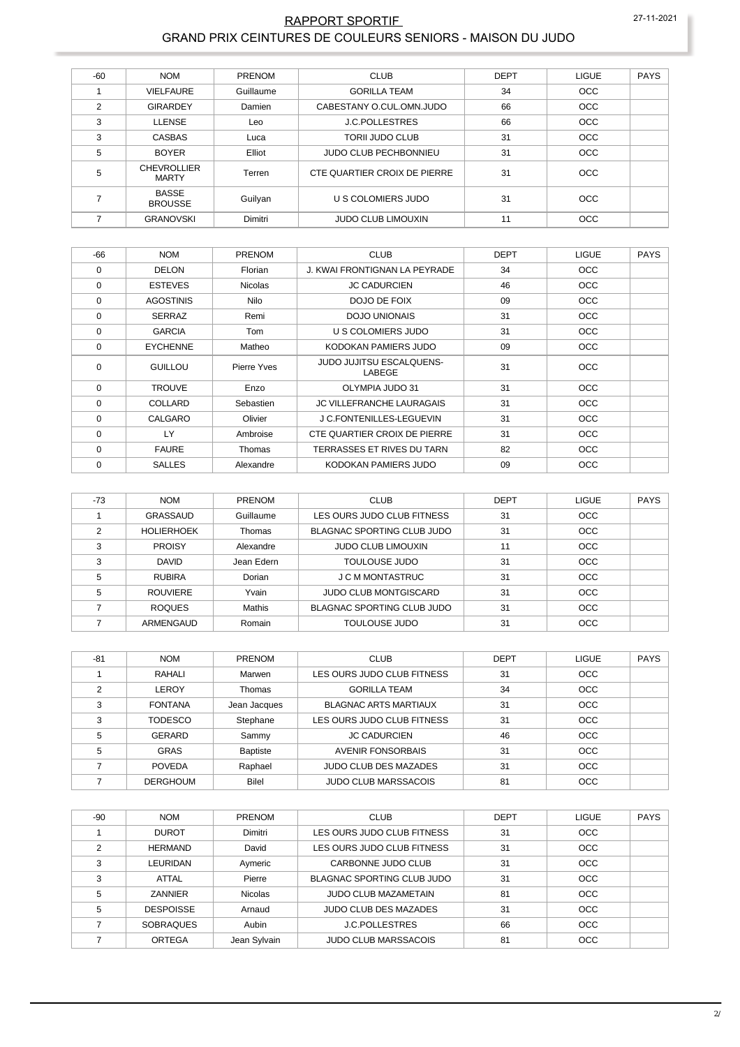#### RAPPORT SPORTIF 27-11-2021 GRAND PRIX CEINTURES DE COULEURS SENIORS - MAISON DU JUDO

| $-60$          | <b>NOM</b>                         | PRENOM    | <b>CLUB</b>                  | <b>DEPT</b> | <b>LIGUE</b> | <b>PAYS</b> |
|----------------|------------------------------------|-----------|------------------------------|-------------|--------------|-------------|
|                | <b>VIELFAURE</b>                   | Guillaume | <b>GORILLA TEAM</b>          | 34          | <b>OCC</b>   |             |
| $\overline{2}$ | <b>GIRARDEY</b>                    | Damien    | CABESTANY O.CUL.OMN.JUDO     | 66          | <b>OCC</b>   |             |
| 3              | <b>LLENSE</b>                      | Leo       | <b>J.C.POLLESTRES</b>        | 66          | <b>OCC</b>   |             |
| 3              | CASBAS                             | Luca      | <b>TORII JUDO CLUB</b>       | 31          | <b>OCC</b>   |             |
| 5              | <b>BOYER</b>                       | Elliot    | <b>JUDO CLUB PECHBONNIEU</b> | 31          | <b>OCC</b>   |             |
| 5              | <b>CHEVROLLIER</b><br><b>MARTY</b> | Terren    | CTE QUARTIER CROIX DE PIERRE | 31          | <b>OCC</b>   |             |
|                | <b>BASSE</b><br><b>BROUSSE</b>     | Guilyan   | U S COLOMIERS JUDO           | 31          | <b>OCC</b>   |             |
|                | <b>GRANOVSKI</b>                   | Dimitri   | <b>JUDO CLUB LIMOUXIN</b>    | 11          | <b>OCC</b>   |             |

| $-66$    | <b>NOM</b>       | PRENOM         | <b>CLUB</b>                               | <b>DEPT</b> | <b>LIGUE</b> | <b>PAYS</b> |
|----------|------------------|----------------|-------------------------------------------|-------------|--------------|-------------|
| $\Omega$ | <b>DELON</b>     | Florian        | J. KWAI FRONTIGNAN LA PEYRADE             | 34          | <b>OCC</b>   |             |
| 0        | <b>ESTEVES</b>   | <b>Nicolas</b> | <b>JC CADURCIEN</b>                       | 46          | <b>OCC</b>   |             |
| 0        | <b>AGOSTINIS</b> | Nilo           | DOJO DE FOIX                              | 09          | <b>OCC</b>   |             |
| 0        | <b>SERRAZ</b>    | Remi           | <b>DOJO UNIONAIS</b>                      | 31          | <b>OCC</b>   |             |
| $\Omega$ | <b>GARCIA</b>    | Tom            | U S COLOMIERS JUDO                        | 31          | <b>OCC</b>   |             |
| $\Omega$ | <b>EYCHENNE</b>  | Matheo         | KODOKAN PAMIERS JUDO                      | 09          | <b>OCC</b>   |             |
| $\Omega$ | GUILLOU          | Pierre Yves    | <b>JUDO JUJITSU ESCALQUENS-</b><br>LABEGE | 31          | <b>OCC</b>   |             |
| $\Omega$ | <b>TROUVE</b>    | Enzo           | OLYMPIA JUDO 31                           | 31          | <b>OCC</b>   |             |
| $\Omega$ | COLLARD          | Sebastien      | JC VILLEFRANCHE LAURAGAIS                 | 31          | <b>OCC</b>   |             |
| $\Omega$ | CALGARO          | Olivier        | J C.FONTENILLES-LEGUEVIN                  | 31          | <b>OCC</b>   |             |
| 0        | LY               | Ambroise       | CTE QUARTIER CROIX DE PIERRE              | 31          | <b>OCC</b>   |             |
| $\Omega$ | <b>FAURE</b>     | Thomas         | TERRASSES ET RIVES DU TARN                | 82          | <b>OCC</b>   |             |
| $\Omega$ | <b>SALLES</b>    | Alexandre      | KODOKAN PAMIERS JUDO                      | 09          | <b>OCC</b>   |             |

| $-73$ | <b>NOM</b>        | PRENOM     | <b>CLUB</b>                       | <b>DEPT</b> | <b>LIGUE</b> | <b>PAYS</b> |
|-------|-------------------|------------|-----------------------------------|-------------|--------------|-------------|
|       | GRASSAUD          | Guillaume  | LES OURS JUDO CLUB FITNESS        | 31          | <b>OCC</b>   |             |
| ↷     | <b>HOLIERHOEK</b> | Thomas     | <b>BLAGNAC SPORTING CLUB JUDO</b> | 31          | <b>OCC</b>   |             |
| 3     | <b>PROISY</b>     | Alexandre  | <b>JUDO CLUB LIMOUXIN</b>         | 11          | <b>OCC</b>   |             |
| 3     | <b>DAVID</b>      | Jean Edern | TOULOUSE JUDO                     | 31          | <b>OCC</b>   |             |
| 5     | <b>RUBIRA</b>     | Dorian     | J C M MONTASTRUC                  | 31          | <b>OCC</b>   |             |
| 5     | <b>ROUVIERE</b>   | Yvain      | <b>JUDO CLUB MONTGISCARD</b>      | 31          | <b>OCC</b>   |             |
|       | <b>ROQUES</b>     | Mathis     | BLAGNAC SPORTING CLUB JUDO        | 31          | <b>OCC</b>   |             |
|       | ARMENGAUD         | Romain     | TOULOUSE JUDO                     | 31          | <b>OCC</b>   |             |

| $-81$ | <b>NOM</b>      | <b>PRENOM</b>   | <b>CLUB</b>                  | <b>DEPT</b> | <b>LIGUE</b> | <b>PAYS</b> |
|-------|-----------------|-----------------|------------------------------|-------------|--------------|-------------|
|       | RAHALI          | Marwen          | LES OURS JUDO CLUB FITNESS   | 31          | <b>OCC</b>   |             |
| C     | LEROY           | Thomas          | <b>GORILLA TEAM</b>          | 34          | <b>OCC</b>   |             |
| 3     | <b>FONTANA</b>  | Jean Jacques    | <b>BLAGNAC ARTS MARTIAUX</b> | 31          | <b>OCC</b>   |             |
| 3     | <b>TODESCO</b>  | Stephane        | LES OURS JUDO CLUB FITNESS   | 31          | <b>OCC</b>   |             |
| 5     | <b>GERARD</b>   | Sammy           | <b>JC CADURCIEN</b>          | 46          | <b>OCC</b>   |             |
| 5     | <b>GRAS</b>     | <b>Baptiste</b> | <b>AVENIR FONSORBAIS</b>     | 31          | <b>OCC</b>   |             |
|       | <b>POVEDA</b>   | Raphael         | <b>JUDO CLUB DES MAZADES</b> | 31          | <b>OCC</b>   |             |
|       | <b>DERGHOUM</b> | <b>Bilel</b>    | <b>JUDO CLUB MARSSACOIS</b>  | 81          | <b>OCC</b>   |             |

| $-90$ | <b>NOM</b>       | PRENOM         | <b>CLUB</b>                  | <b>DEPT</b> | <b>LIGUE</b> | <b>PAYS</b> |
|-------|------------------|----------------|------------------------------|-------------|--------------|-------------|
|       | <b>DUROT</b>     | Dimitri        | LES OURS JUDO CLUB FITNESS   | 31          | <b>OCC</b>   |             |
| ◠     | <b>HERMAND</b>   | David          | LES OURS JUDO CLUB FITNESS   | 31          | <b>OCC</b>   |             |
| 3     | LEURIDAN         | Aymeric        | CARBONNE JUDO CLUB           | 31          | <b>OCC</b>   |             |
| 3     | ATTAL            | Pierre         | BLAGNAC SPORTING CLUB JUDO   | 31          | <b>OCC</b>   |             |
| 5     | ZANNIER          | <b>Nicolas</b> | <b>JUDO CLUB MAZAMETAIN</b>  | 81          | <b>OCC</b>   |             |
| 5     | <b>DESPOISSE</b> | Arnaud         | <b>JUDO CLUB DES MAZADES</b> | 31          | <b>OCC</b>   |             |
|       | <b>SOBRAQUES</b> | Aubin          | <b>J.C.POLLESTRES</b>        | 66          | <b>OCC</b>   |             |
|       | <b>ORTEGA</b>    | Jean Sylvain   | <b>JUDO CLUB MARSSACOIS</b>  | 81          | <b>OCC</b>   |             |